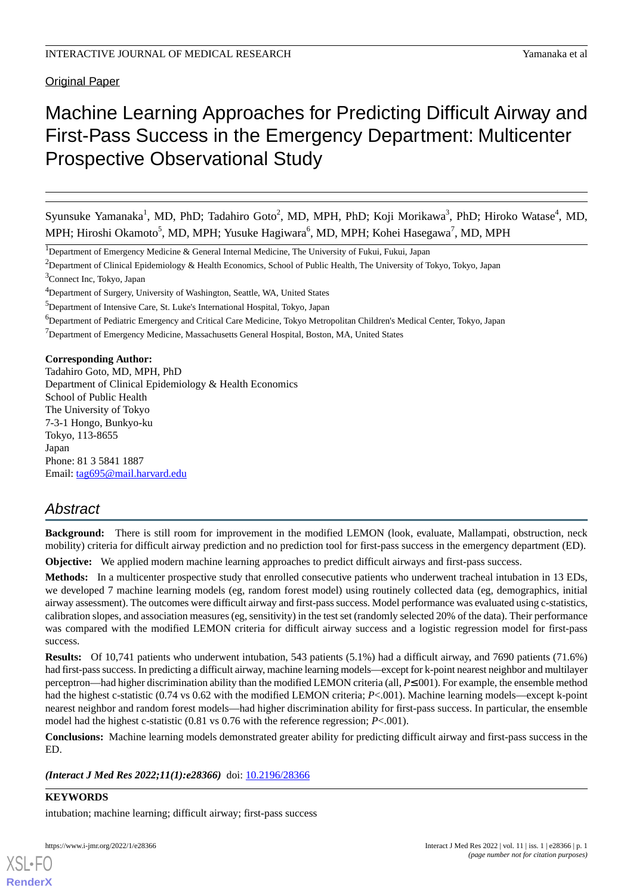Original Paper

# Machine Learning Approaches for Predicting Difficult Airway and First-Pass Success in the Emergency Department: Multicenter Prospective Observational Study

Syunsuke Yamanaka<sup>1</sup>, MD, PhD; Tadahiro Goto<sup>2</sup>, MD, MPH, PhD; Koji Morikawa<sup>3</sup>, PhD; Hiroko Watase<sup>4</sup>, MD, MPH; Hiroshi Okamoto<sup>5</sup>, MD, MPH; Yusuke Hagiwara<sup>6</sup>, MD, MPH; Kohei Hasegawa<sup>7</sup>, MD, MPH

<sup>1</sup>Department of Emergency Medicine & General Internal Medicine, The University of Fukui, Fukui, Japan

<sup>2</sup>Department of Clinical Epidemiology & Health Economics, School of Public Health, The University of Tokyo, Tokyo, Japan

<sup>4</sup>Department of Surgery, University of Washington, Seattle, WA, United States

<sup>6</sup>Department of Pediatric Emergency and Critical Care Medicine, Tokyo Metropolitan Children's Medical Center, Tokyo, Japan

<sup>7</sup>Department of Emergency Medicine, Massachusetts General Hospital, Boston, MA, United States

**Corresponding Author:**

Tadahiro Goto, MD, MPH, PhD Department of Clinical Epidemiology & Health Economics School of Public Health The University of Tokyo 7-3-1 Hongo, Bunkyo-ku Tokyo, 113-8655 Japan Phone: 81 3 5841 1887 Email: [tag695@mail.harvard.edu](mailto:tag695@mail.harvard.edu)

# *Abstract*

**Background:** There is still room for improvement in the modified LEMON (look, evaluate, Mallampati, obstruction, neck mobility) criteria for difficult airway prediction and no prediction tool for first-pass success in the emergency department (ED).

**Objective:** We applied modern machine learning approaches to predict difficult airways and first-pass success.

**Methods:** In a multicenter prospective study that enrolled consecutive patients who underwent tracheal intubation in 13 EDs, we developed 7 machine learning models (eg, random forest model) using routinely collected data (eg, demographics, initial airway assessment). The outcomes were difficult airway and first-pass success. Model performance was evaluated using c-statistics, calibration slopes, and association measures (eg, sensitivity) in the test set (randomly selected 20% of the data). Their performance was compared with the modified LEMON criteria for difficult airway success and a logistic regression model for first-pass success.

**Results:** Of 10,741 patients who underwent intubation, 543 patients (5.1%) had a difficult airway, and 7690 patients (71.6%) had first-pass success. In predicting a difficult airway, machine learning models—except for k-point nearest neighbor and multilayer perceptron—had higher discrimination ability than the modified LEMON criteria (all, *P*≤.001). For example, the ensemble method had the highest c-statistic (0.74 vs 0.62 with the modified LEMON criteria; *P*<.001). Machine learning models—except k-point nearest neighbor and random forest models—had higher discrimination ability for first-pass success. In particular, the ensemble model had the highest c-statistic (0.81 vs 0.76 with the reference regression; *P*<.001).

**Conclusions:** Machine learning models demonstrated greater ability for predicting difficult airway and first-pass success in the ED.

*(Interact J Med Res 2022;11(1):e28366)* doi:  $10.2196/28366$ 

**KEYWORDS** intubation; machine learning; difficult airway; first-pass success

[XSL](http://www.w3.org/Style/XSL)•FO **[RenderX](http://www.renderx.com/)**

<sup>3</sup>Connect Inc, Tokyo, Japan

<sup>&</sup>lt;sup>5</sup>Department of Intensive Care, St. Luke's International Hospital, Tokyo, Japan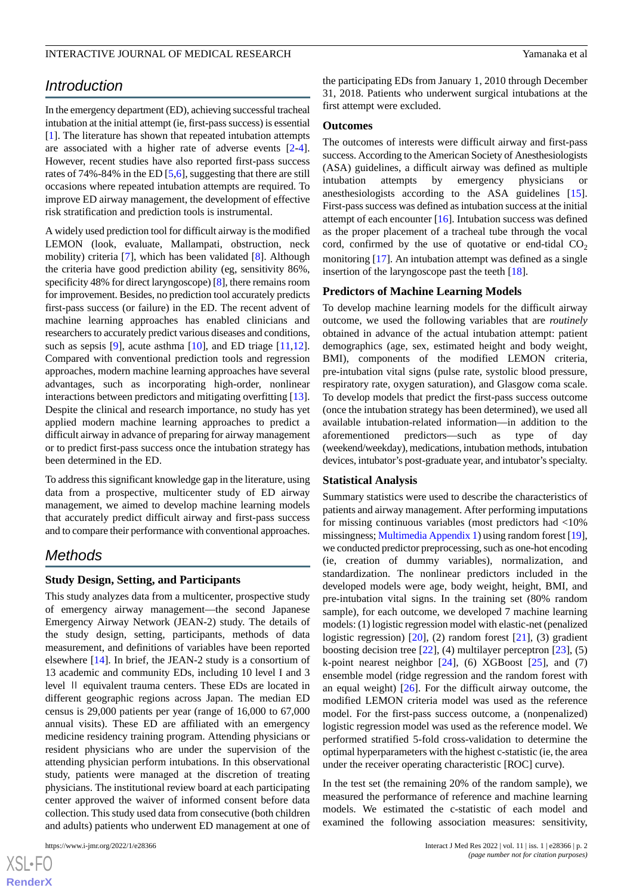# *Introduction*

In the emergency department (ED), achieving successful tracheal intubation at the initial attempt (ie, first-pass success) is essential [[1\]](#page-7-0). The literature has shown that repeated intubation attempts are associated with a higher rate of adverse events [\[2-](#page-7-1)[4\]](#page-8-0). However, recent studies have also reported first-pass success rates of 74%-84% in the ED [\[5](#page-8-1),[6\]](#page-8-2), suggesting that there are still occasions where repeated intubation attempts are required. To improve ED airway management, the development of effective risk stratification and prediction tools is instrumental.

A widely used prediction tool for difficult airway is the modified LEMON (look, evaluate, Mallampati, obstruction, neck mobility) criteria [[7](#page-8-3)], which has been validated [[8\]](#page-8-4). Although the criteria have good prediction ability (eg, sensitivity 86%, specificity 48% for direct laryngoscope) [[8\]](#page-8-4), there remains room for improvement. Besides, no prediction tool accurately predicts first-pass success (or failure) in the ED. The recent advent of machine learning approaches has enabled clinicians and researchers to accurately predict various diseases and conditions, such as sepsis [\[9\]](#page-8-5), acute asthma [\[10](#page-8-6)], and ED triage [\[11](#page-8-7),[12\]](#page-8-8). Compared with conventional prediction tools and regression approaches, modern machine learning approaches have several advantages, such as incorporating high-order, nonlinear interactions between predictors and mitigating overfitting [[13\]](#page-8-9). Despite the clinical and research importance, no study has yet applied modern machine learning approaches to predict a difficult airway in advance of preparing for airway management or to predict first-pass success once the intubation strategy has been determined in the ED.

To address this significant knowledge gap in the literature, using data from a prospective, multicenter study of ED airway management, we aimed to develop machine learning models that accurately predict difficult airway and first-pass success and to compare their performance with conventional approaches.

# *Methods*

#### **Study Design, Setting, and Participants**

This study analyzes data from a multicenter, prospective study of emergency airway management—the second Japanese Emergency Airway Network (JEAN-2) study. The details of the study design, setting, participants, methods of data measurement, and definitions of variables have been reported elsewhere [\[14](#page-8-10)]. In brief, the JEAN-2 study is a consortium of 13 academic and community EDs, including 10 level I and 3 level Ⅱ equivalent trauma centers. These EDs are located in different geographic regions across Japan. The median ED census is 29,000 patients per year (range of 16,000 to 67,000 annual visits). These ED are affiliated with an emergency medicine residency training program. Attending physicians or resident physicians who are under the supervision of the attending physician perform intubations. In this observational study, patients were managed at the discretion of treating physicians. The institutional review board at each participating center approved the waiver of informed consent before data collection. This study used data from consecutive (both children and adults) patients who underwent ED management at one of

the participating EDs from January 1, 2010 through December 31, 2018. Patients who underwent surgical intubations at the first attempt were excluded.

#### **Outcomes**

The outcomes of interests were difficult airway and first-pass success. According to the American Society of Anesthesiologists (ASA) guidelines, a difficult airway was defined as multiple intubation attempts by emergency physicians or anesthesiologists according to the ASA guidelines [[15\]](#page-8-11). First-pass success was defined as intubation success at the initial attempt of each encounter [[16\]](#page-8-12). Intubation success was defined as the proper placement of a tracheal tube through the vocal cord, confirmed by the use of quotative or end-tidal  $CO<sub>2</sub>$ monitoring [[17\]](#page-8-13). An intubation attempt was defined as a single insertion of the laryngoscope past the teeth [\[18](#page-8-14)].

#### **Predictors of Machine Learning Models**

To develop machine learning models for the difficult airway outcome, we used the following variables that are *routinely* obtained in advance of the actual intubation attempt: patient demographics (age, sex, estimated height and body weight, BMI), components of the modified LEMON criteria, pre-intubation vital signs (pulse rate, systolic blood pressure, respiratory rate, oxygen saturation), and Glasgow coma scale. To develop models that predict the first-pass success outcome (once the intubation strategy has been determined), we used all available intubation-related information—in addition to the aforementioned predictors—such as type of day (weekend/weekday), medications, intubation methods, intubation devices, intubator's post-graduate year, and intubator's specialty.

#### **Statistical Analysis**

Summary statistics were used to describe the characteristics of patients and airway management. After performing imputations for missing continuous variables (most predictors had <10% missingness; [Multimedia Appendix 1](#page-7-2)) using random forest [\[19](#page-8-15)], we conducted predictor preprocessing, such as one-hot encoding (ie, creation of dummy variables), normalization, and standardization. The nonlinear predictors included in the developed models were age, body weight, height, BMI, and pre-intubation vital signs. In the training set (80% random sample), for each outcome, we developed 7 machine learning models: (1) logistic regression model with elastic-net (penalized logistic regression) [[20\]](#page-8-16), (2) random forest [[21\]](#page-8-17), (3) gradient boosting decision tree  $[22]$  $[22]$ , (4) multilayer perceptron  $[23]$  $[23]$ , (5) k-point nearest neighbor  $[24]$  $[24]$ , (6) XGBoost  $[25]$  $[25]$ , and (7) ensemble model (ridge regression and the random forest with an equal weight)  $[26]$  $[26]$ . For the difficult airway outcome, the modified LEMON criteria model was used as the reference model. For the first-pass success outcome, a (nonpenalized) logistic regression model was used as the reference model. We performed stratified 5-fold cross-validation to determine the optimal hyperparameters with the highest c-statistic (ie, the area under the receiver operating characteristic [ROC] curve).

In the test set (the remaining 20% of the random sample), we measured the performance of reference and machine learning models. We estimated the c-statistic of each model and examined the following association measures: sensitivity,

 $XS$ -FO **[RenderX](http://www.renderx.com/)**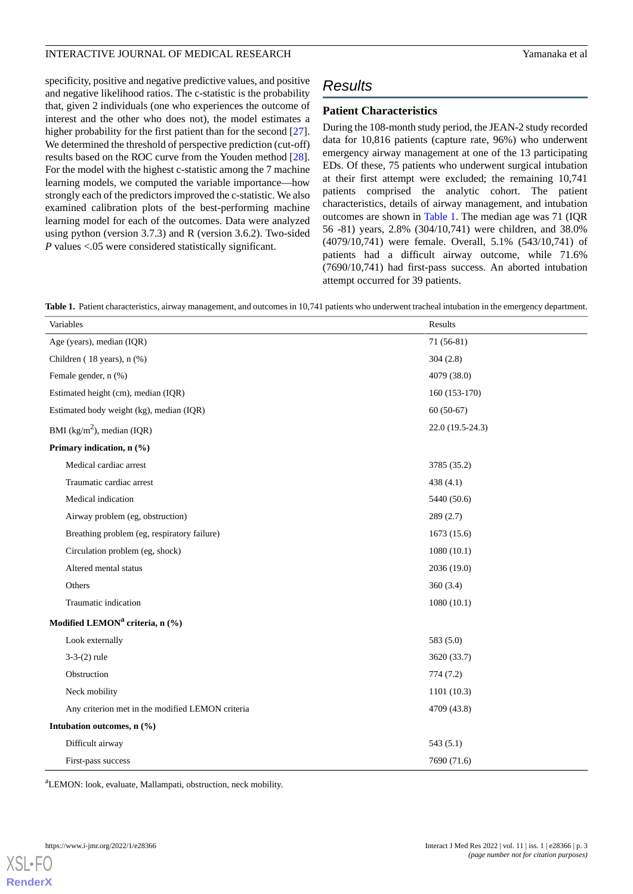specificity, positive and negative predictive values, and positive and negative likelihood ratios. The c-statistic is the probability that, given 2 individuals (one who experiences the outcome of interest and the other who does not), the model estimates a higher probability for the first patient than for the second [[27\]](#page-9-5). We determined the threshold of perspective prediction (cut-off) results based on the ROC curve from the Youden method [[28\]](#page-9-6). For the model with the highest c-statistic among the 7 machine learning models, we computed the variable importance—how strongly each of the predictors improved the c-statistic. We also examined calibration plots of the best-performing machine learning model for each of the outcomes. Data were analyzed using python (version 3.7.3) and R (version 3.6.2). Two-sided *P* values <.05 were considered statistically significant.

# *Results*

### **Patient Characteristics**

During the 108-month study period, the JEAN-2 study recorded data for 10,816 patients (capture rate, 96%) who underwent emergency airway management at one of the 13 participating EDs. Of these, 75 patients who underwent surgical intubation at their first attempt were excluded; the remaining 10,741 patients comprised the analytic cohort. The patient characteristics, details of airway management, and intubation outcomes are shown in [Table 1.](#page-2-0) The median age was 71 (IQR 56 -81) years, 2.8% (304/10,741) were children, and 38.0% (4079/10,741) were female. Overall, 5.1% (543/10,741) of patients had a difficult airway outcome, while 71.6% (7690/10,741) had first-pass success. An aborted intubation attempt occurred for 39 patients.

<span id="page-2-0"></span>Table 1. Patient characteristics, airway management, and outcomes in 10,741 patients who underwent tracheal intubation in the emergency department.

| Variables                                        | Results           |  |  |  |
|--------------------------------------------------|-------------------|--|--|--|
| Age (years), median (IQR)                        | $71(56-81)$       |  |  |  |
| Children ( $18$ years), n $(\%)$                 | 304(2.8)          |  |  |  |
| Female gender, n (%)                             | 4079 (38.0)       |  |  |  |
| Estimated height (cm), median (IQR)              | $160(153-170)$    |  |  |  |
| Estimated body weight (kg), median (IQR)         | $60(50-67)$       |  |  |  |
| BMI ( $\text{kg/m}^2$ ), median (IQR)            | $22.0(19.5-24.3)$ |  |  |  |
| Primary indication, n (%)                        |                   |  |  |  |
| Medical cardiac arrest                           | 3785 (35.2)       |  |  |  |
| Traumatic cardiac arrest                         | 438 (4.1)         |  |  |  |
| Medical indication                               | 5440 (50.6)       |  |  |  |
| Airway problem (eg, obstruction)                 | 289(2.7)          |  |  |  |
| Breathing problem (eg, respiratory failure)      | 1673(15.6)        |  |  |  |
| Circulation problem (eg, shock)                  | 1080(10.1)        |  |  |  |
| Altered mental status                            | 2036(19.0)        |  |  |  |
| Others                                           | 360(3.4)          |  |  |  |
| Traumatic indication                             | 1080(10.1)        |  |  |  |
| Modified LEMON <sup>a</sup> criteria, n (%)      |                   |  |  |  |
| Look externally                                  | 583(5.0)          |  |  |  |
| $3-3-(2)$ rule                                   | 3620 (33.7)       |  |  |  |
| Obstruction                                      | 774(7.2)          |  |  |  |
| Neck mobility                                    | 1101(10.3)        |  |  |  |
| Any criterion met in the modified LEMON criteria | 4709 (43.8)       |  |  |  |
| Intubation outcomes, n (%)                       |                   |  |  |  |
| Difficult airway                                 | 543(5.1)          |  |  |  |
| First-pass success                               | 7690 (71.6)       |  |  |  |

<sup>a</sup>LEMON: look, evaluate, Mallampati, obstruction, neck mobility.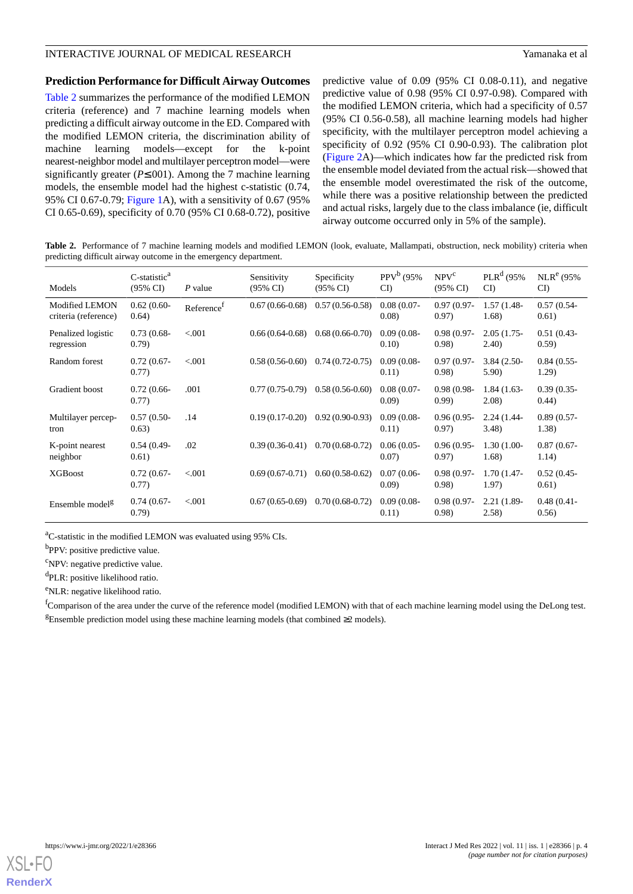#### **Prediction Performance for Difficult Airway Outcomes**

[Table 2](#page-3-0) summarizes the performance of the modified LEMON criteria (reference) and 7 machine learning models when predicting a difficult airway outcome in the ED. Compared with the modified LEMON criteria, the discrimination ability of machine learning models—except for the k-point nearest-neighbor model and multilayer perceptron model—were significantly greater (*P*≤.001). Among the 7 machine learning models, the ensemble model had the highest c-statistic (0.74, 95% CI 0.67-0.79; [Figure 1](#page-4-0)A), with a sensitivity of 0.67 (95% CI 0.65-0.69), specificity of 0.70 (95% CI 0.68-0.72), positive predictive value of 0.09 (95% CI 0.08-0.11), and negative predictive value of 0.98 (95% CI 0.97-0.98). Compared with the modified LEMON criteria, which had a specificity of 0.57 (95% CI 0.56-0.58), all machine learning models had higher specificity, with the multilayer perceptron model achieving a specificity of 0.92 (95% CI 0.90-0.93). The calibration plot ([Figure 2A](#page-4-1))—which indicates how far the predicted risk from the ensemble model deviated from the actual risk—showed that the ensemble model overestimated the risk of the outcome, while there was a positive relationship between the predicted and actual risks, largely due to the class imbalance (ie, difficult airway outcome occurred only in 5% of the sample).

<span id="page-3-0"></span>**Table 2.** Performance of 7 machine learning models and modified LEMON (look, evaluate, Mallampati, obstruction, neck mobility) criteria when predicting difficult airway outcome in the emergency department.

| Models                                 | C-statistic <sup>a</sup><br>$(95\% \text{ CI})$ | P value                | Sensitivity<br>$(95\% \text{ CI})$ | Specificity<br>$(95\% \text{ CI})$ | $PPV^b$ (95%<br>CI      | NPV <sup>c</sup><br>$(95\% \text{ CI})$ | $PLR^d$ (95%<br>CI)     | $NLR^e$ (95%<br>CI      |
|----------------------------------------|-------------------------------------------------|------------------------|------------------------------------|------------------------------------|-------------------------|-----------------------------------------|-------------------------|-------------------------|
| Modified LEMON<br>criteria (reference) | $0.62(0.60-$<br>0.64)                           | Reference <sup>1</sup> | $0.67(0.66-0.68)$                  | $0.57(0.56-0.58)$                  | $0.08(0.07 -$<br>(0.08) | $0.97(0.97 -$<br>0.97)                  | $1.57(1.48 -$<br>1.68)  | $0.57(0.54 -$<br>0.61)  |
| Penalized logistic<br>regression       | $0.73(0.68 -$<br>(0.79)                         | < 0.001                | $0.66(0.64-0.68)$                  | $0.68(0.66-0.70)$                  | $0.09(0.08 -$<br>0.10)  | $0.98(0.97 -$<br>(0.98)                 | $2.05(1.75 -$<br>(2.40) | $0.51(0.43 -$<br>0.59)  |
| Random forest                          | $0.72(0.67 -$<br>0.77)                          | < 0.001                | $0.58(0.56-0.60)$                  | $0.74(0.72-0.75)$                  | $0.09(0.08 -$<br>0.11)  | $0.97(0.97 -$<br>(0.98)                 | $3.84(2.50-$<br>5.90)   | $0.84(0.55 -$<br>1.29)  |
| Gradient boost                         | $0.72(0.66 -$<br>0.77)                          | .001                   | $0.77(0.75-0.79)$                  | $0.58(0.56-0.60)$                  | $0.08(0.07 -$<br>(0.09) | $0.98(0.98 -$<br>(0.99)                 | $1.84(1.63-$<br>2.08)   | $0.39(0.35 -$<br>(0.44) |
| Multilayer percep-<br>tron             | $0.57(0.50-$<br>0.63)                           | .14                    | $0.19(0.17-0.20)$                  | $0.92(0.90-0.93)$                  | $0.09(0.08 -$<br>0.11)  | $0.96(0.95 -$<br>0.97)                  | $2.24(1.44-$<br>3.48    | $0.89(0.57 -$<br>1.38)  |
| K-point nearest<br>neighbor            | $0.54(0.49-$<br>0.61)                           | .02                    | $0.39(0.36-0.41)$                  | $0.70(0.68-0.72)$                  | $0.06(0.05 -$<br>0.07)  | $0.96(0.95 -$<br>0.97)                  | $1.30(1.00-$<br>1.68)   | $0.87(0.67 -$<br>1.14)  |
| <b>XGBoost</b>                         | $0.72(0.67 -$<br>0.77)                          | < 0.001                | $0.69(0.67-0.71)$                  | $0.60(0.58-0.62)$                  | $0.07(0.06 -$<br>(0.09) | $0.98(0.97 -$<br>(0.98)                 | $1.70(1.47 -$<br>1.97)  | $0.52(0.45 -$<br>0.61)  |
| Ensemble model <sup>g</sup>            | $0.74(0.67 -$<br>(0.79)                         | < 0.001                | $0.67(0.65-0.69)$                  | $0.70(0.68-0.72)$                  | $0.09(0.08 -$<br>0.11)  | $0.98(0.97 -$<br>(0.98)                 | $2.21(1.89-$<br>(2.58)  | $0.48(0.41 -$<br>0.56)  |

<sup>a</sup>C-statistic in the modified LEMON was evaluated using 95% CIs.

<sup>b</sup>PPV: positive predictive value.

 ${}^{\text{c}}$ NPV: negative predictive value.

<sup>d</sup>PLR: positive likelihood ratio.

<sup>e</sup>NLR: negative likelihood ratio.

<sup>f</sup>Comparison of the area under the curve of the reference model (modified LEMON) with that of each machine learning model using the DeLong test. <sup>g</sup>Ensemble prediction model using these machine learning models (that combined ≥2 models).

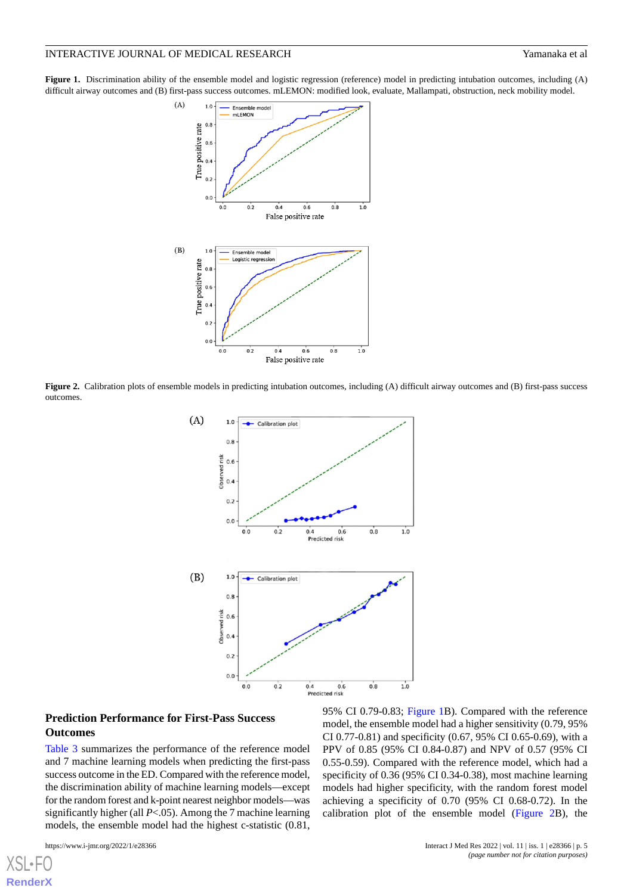<span id="page-4-0"></span>**Figure 1.** Discrimination ability of the ensemble model and logistic regression (reference) model in predicting intubation outcomes, including (A) difficult airway outcomes and (B) first-pass success outcomes. mLEMON: modified look, evaluate, Mallampati, obstruction, neck mobility model.



<span id="page-4-1"></span>**Figure 2.** Calibration plots of ensemble models in predicting intubation outcomes, including (A) difficult airway outcomes and (B) first-pass success outcomes.



#### **Prediction Performance for First-Pass Success Outcomes**

[Table 3](#page-5-0) summarizes the performance of the reference model and 7 machine learning models when predicting the first-pass success outcome in the ED. Compared with the reference model, the discrimination ability of machine learning models—except for the random forest and k-point nearest neighbor models—was significantly higher (all *P*<.05). Among the 7 machine learning models, the ensemble model had the highest c-statistic (0.81,

95% CI 0.79-0.83; [Figure 1B](#page-4-0)). Compared with the reference model, the ensemble model had a higher sensitivity (0.79, 95% CI 0.77-0.81) and specificity (0.67, 95% CI 0.65-0.69), with a PPV of 0.85 (95% CI 0.84-0.87) and NPV of 0.57 (95% CI 0.55-0.59). Compared with the reference model, which had a specificity of 0.36 (95% CI 0.34-0.38), most machine learning models had higher specificity, with the random forest model achieving a specificity of 0.70 (95% CI 0.68-0.72). In the calibration plot of the ensemble model ([Figure 2B](#page-4-1)), the

[XSL](http://www.w3.org/Style/XSL)•F **[RenderX](http://www.renderx.com/)**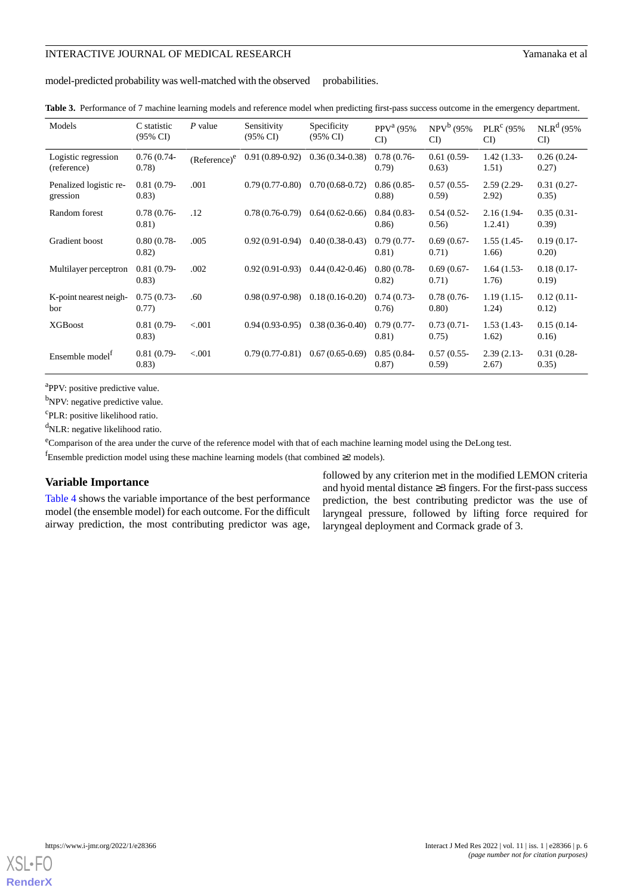model-predicted probability was well-matched with the observed probabilities.

<span id="page-5-0"></span>

| Table 3. Performance of 7 machine learning models and reference model when predicting first-pass success outcome in the emergency department<br>u and the contract of the contract of the contract of the contract of the contract of the contract of the contract of the contract of the contract of the contract of the contract of the contract of the contract of the cont |  |
|--------------------------------------------------------------------------------------------------------------------------------------------------------------------------------------------------------------------------------------------------------------------------------------------------------------------------------------------------------------------------------|--|
|--------------------------------------------------------------------------------------------------------------------------------------------------------------------------------------------------------------------------------------------------------------------------------------------------------------------------------------------------------------------------------|--|

| Models                                   | C statistic<br>$(95\% \text{ CI})$ | $P$ value       | Sensitivity<br>$(95\% \text{ CI})$ | Specificity<br>$(95\% \text{ CI})$ | PPV <sup>a</sup> (95%<br>CI | $NPV^b(95%$<br>CI       | $PLRc$ (95%)<br>CI       | $NLR^d$ (95%<br>CI      |
|------------------------------------------|------------------------------------|-----------------|------------------------------------|------------------------------------|-----------------------------|-------------------------|--------------------------|-------------------------|
| Logistic regression<br>(reference)       | $0.76(0.74-$<br>(0.78)             | $(Reference)^e$ | $0.91(0.89-0.92)$                  | $0.36(0.34-0.38)$                  | $0.78(0.76-$<br>(0.79)      | $0.61(0.59-$<br>(0.63)  | $1.42(1.33-$<br>1.51)    | $0.26(0.24 -$<br>0.27)  |
| Penalized logistic re-<br>gression       | $0.81(0.79-$<br>(0.83)             | .001            | $0.79(0.77-0.80)$                  | $0.70(0.68-0.72)$                  | $0.86(0.85 -$<br>(0.88)     | $0.57(0.55 -$<br>(0.59) | $2.59(2.29 -$<br>2.92)   | $0.31(0.27 -$<br>0.35)  |
| Random forest                            | $0.78(0.76-$<br>0.81)              | .12             | $0.78(0.76-0.79)$                  | $0.64(0.62-0.66)$                  | $0.84(0.83 -$<br>0.86       | $0.54(0.52 -$<br>0.56)  | $2.16(1.94 -$<br>1.2.41) | $0.35(0.31 -$<br>(0.39) |
| Gradient boost                           | $0.80(0.78 -$<br>0.82)             | .005            | $0.92(0.91-0.94)$                  | $0.40(0.38-0.43)$                  | $0.79(0.77-$<br>0.81)       | $0.69(0.67 -$<br>0.71)  | $1.55(1.45 -$<br>1.66)   | $0.19(0.17-$<br>0.20)   |
| Multilayer perceptron                    | $0.81(0.79-$<br>(0.83)             | .002            | $0.92(0.91-0.93)$                  | $0.44(0.42-0.46)$                  | $0.80(0.78 -$<br>0.82)      | $0.69(0.67 -$<br>0.71)  | $1.64(1.53-$<br>1.76)    | $0.18(0.17-$<br>(0.19)  |
| K-point nearest neigh-<br>bor            | $0.75(0.73 -$<br>0.77)             | .60             | $0.98(0.97-0.98)$                  | $0.18(0.16-0.20)$                  | $0.74(0.73-$<br>0.76        | $0.78(0.76-$<br>(0.80)  | $1.19(1.15-$<br>1.24)    | $0.12(0.11 -$<br>0.12)  |
| <b>XGBoost</b>                           | $0.81(0.79-$<br>(0.83)             | < 0.001         | $0.94(0.93-0.95)$                  | $0.38(0.36-0.40)$                  | $0.79(0.77-$<br>0.81)       | $0.73(0.71 -$<br>0.75)  | $1.53(1.43-$<br>1.62)    | $0.15(0.14 -$<br>0.16)  |
| Ensemble model <sup><math>I</math></sup> | $0.81(0.79-$<br>(0.83)             | < 0.001         | $0.79(0.77-0.81)$                  | $0.67(0.65-0.69)$                  | $0.85(0.84 -$<br>0.87)      | $0.57(0.55 -$<br>(0.59) | $2.39(2.13-$<br>2.67)    | $0.31(0.28 -$<br>(0.35) |

<sup>a</sup>PPV: positive predictive value.

<sup>b</sup>NPV: negative predictive value.

<sup>c</sup>PLR: positive likelihood ratio.

<sup>d</sup>NLR: negative likelihood ratio.

<sup>e</sup>Comparison of the area under the curve of the reference model with that of each machine learning model using the DeLong test.

fEnsemble prediction model using these machine learning models (that combined ≥2 models).

#### **Variable Importance**

[Table 4](#page-6-0) shows the variable importance of the best performance model (the ensemble model) for each outcome. For the difficult airway prediction, the most contributing predictor was age,

followed by any criterion met in the modified LEMON criteria and hyoid mental distance ≥3 fingers. For the first-pass success prediction, the best contributing predictor was the use of laryngeal pressure, followed by lifting force required for laryngeal deployment and Cormack grade of 3.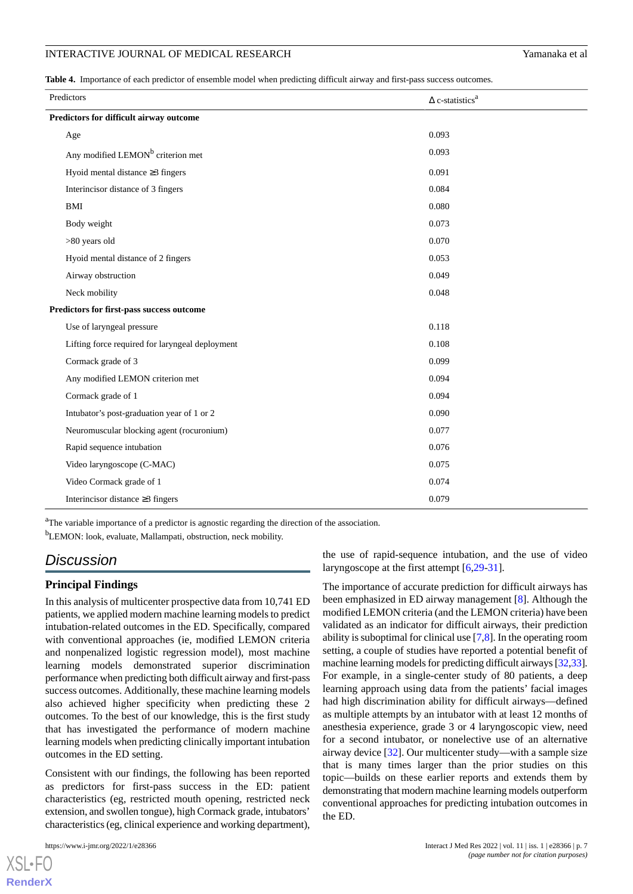<span id="page-6-0"></span>**Table 4.** Importance of each predictor of ensemble model when predicting difficult airway and first-pass success outcomes.

| Predictors                                      | $\Delta$ c-statistics <sup>a</sup> |  |  |  |
|-------------------------------------------------|------------------------------------|--|--|--|
| Predictors for difficult airway outcome         |                                    |  |  |  |
| Age                                             | 0.093                              |  |  |  |
| Any modified LEMON <sup>b</sup> criterion met   | 0.093                              |  |  |  |
| Hyoid mental distance $\geq$ 3 fingers          | 0.091                              |  |  |  |
| Interincisor distance of 3 fingers              | 0.084                              |  |  |  |
| <b>BMI</b>                                      | 0.080                              |  |  |  |
| Body weight                                     | 0.073                              |  |  |  |
| >80 years old                                   | 0.070                              |  |  |  |
| Hyoid mental distance of 2 fingers              | 0.053                              |  |  |  |
| Airway obstruction                              | 0.049                              |  |  |  |
| Neck mobility                                   | 0.048                              |  |  |  |
| Predictors for first-pass success outcome       |                                    |  |  |  |
| Use of laryngeal pressure                       | 0.118                              |  |  |  |
| Lifting force required for laryngeal deployment | 0.108                              |  |  |  |
| Cormack grade of 3                              | 0.099                              |  |  |  |
| Any modified LEMON criterion met                | 0.094                              |  |  |  |
| Cormack grade of 1                              | 0.094                              |  |  |  |
| Intubator's post-graduation year of 1 or 2      | 0.090                              |  |  |  |
| Neuromuscular blocking agent (rocuronium)       | 0.077                              |  |  |  |
| Rapid sequence intubation                       | 0.076                              |  |  |  |
| Video laryngoscope (C-MAC)                      | 0.075                              |  |  |  |
| Video Cormack grade of 1                        | 0.074                              |  |  |  |
| Interincisor distance $\geq$ 3 fingers          | 0.079                              |  |  |  |

<sup>a</sup>The variable importance of a predictor is agnostic regarding the direction of the association.

<sup>b</sup>LEMON: look, evaluate, Mallampati, obstruction, neck mobility.

## *Discussion*

#### **Principal Findings**

In this analysis of multicenter prospective data from 10,741 ED patients, we applied modern machine learning models to predict intubation-related outcomes in the ED. Specifically, compared with conventional approaches (ie, modified LEMON criteria and nonpenalized logistic regression model), most machine learning models demonstrated superior discrimination performance when predicting both difficult airway and first-pass success outcomes. Additionally, these machine learning models also achieved higher specificity when predicting these 2 outcomes. To the best of our knowledge, this is the first study that has investigated the performance of modern machine learning models when predicting clinically important intubation outcomes in the ED setting.

Consistent with our findings, the following has been reported as predictors for first-pass success in the ED: patient characteristics (eg, restricted mouth opening, restricted neck extension, and swollen tongue), high Cormack grade, intubators' characteristics (eg, clinical experience and working department),

[XSL](http://www.w3.org/Style/XSL)•FO **[RenderX](http://www.renderx.com/)**

the use of rapid-sequence intubation, and the use of video laryngoscope at the first attempt [\[6](#page-8-2),[29-](#page-9-7)[31\]](#page-9-8).

The importance of accurate prediction for difficult airways has been emphasized in ED airway management [\[8](#page-8-4)]. Although the modified LEMON criteria (and the LEMON criteria) have been validated as an indicator for difficult airways, their prediction ability is suboptimal for clinical use [\[7](#page-8-3),[8\]](#page-8-4). In the operating room setting, a couple of studies have reported a potential benefit of machine learning models for predicting difficult airways [\[32](#page-9-9)[,33](#page-9-10)]. For example, in a single-center study of 80 patients, a deep learning approach using data from the patients' facial images had high discrimination ability for difficult airways—defined as multiple attempts by an intubator with at least 12 months of anesthesia experience, grade 3 or 4 laryngoscopic view, need for a second intubator, or nonelective use of an alternative airway device [\[32](#page-9-9)]. Our multicenter study—with a sample size that is many times larger than the prior studies on this topic—builds on these earlier reports and extends them by demonstrating that modern machine learning models outperform conventional approaches for predicting intubation outcomes in the ED.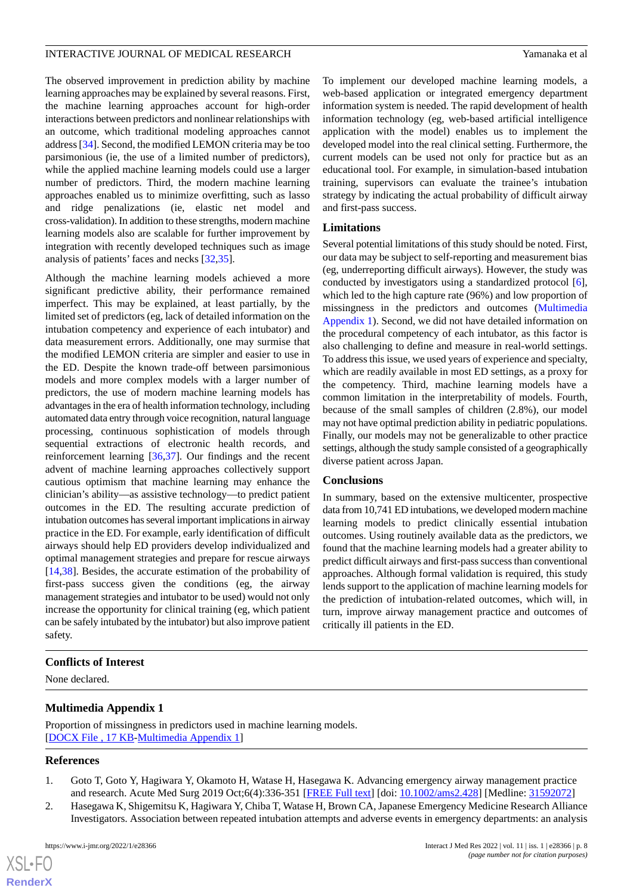The observed improvement in prediction ability by machine learning approaches may be explained by several reasons. First, the machine learning approaches account for high-order interactions between predictors and nonlinear relationships with an outcome, which traditional modeling approaches cannot address [[34\]](#page-9-11). Second, the modified LEMON criteria may be too parsimonious (ie, the use of a limited number of predictors), while the applied machine learning models could use a larger number of predictors. Third, the modern machine learning approaches enabled us to minimize overfitting, such as lasso and ridge penalizations (ie, elastic net model and cross-validation). In addition to these strengths, modern machine learning models also are scalable for further improvement by integration with recently developed techniques such as image analysis of patients' faces and necks [[32,](#page-9-9)[35](#page-9-12)].

Although the machine learning models achieved a more significant predictive ability, their performance remained imperfect. This may be explained, at least partially, by the limited set of predictors (eg, lack of detailed information on the intubation competency and experience of each intubator) and data measurement errors. Additionally, one may surmise that the modified LEMON criteria are simpler and easier to use in the ED. Despite the known trade-off between parsimonious models and more complex models with a larger number of predictors, the use of modern machine learning models has advantages in the era of health information technology, including automated data entry through voice recognition, natural language processing, continuous sophistication of models through sequential extractions of electronic health records, and reinforcement learning [\[36](#page-9-13),[37\]](#page-9-14). Our findings and the recent advent of machine learning approaches collectively support cautious optimism that machine learning may enhance the clinician's ability—as assistive technology—to predict patient outcomes in the ED. The resulting accurate prediction of intubation outcomes has several important implications in airway practice in the ED. For example, early identification of difficult airways should help ED providers develop individualized and optimal management strategies and prepare for rescue airways [[14](#page-8-10)[,38](#page-9-15)]. Besides, the accurate estimation of the probability of first-pass success given the conditions (eg, the airway management strategies and intubator to be used) would not only increase the opportunity for clinical training (eg, which patient can be safely intubated by the intubator) but also improve patient safety.

To implement our developed machine learning models, a web-based application or integrated emergency department information system is needed. The rapid development of health information technology (eg, web-based artificial intelligence application with the model) enables us to implement the developed model into the real clinical setting. Furthermore, the current models can be used not only for practice but as an educational tool. For example, in simulation-based intubation training, supervisors can evaluate the trainee's intubation strategy by indicating the actual probability of difficult airway and first-pass success.

#### **Limitations**

Several potential limitations of this study should be noted. First, our data may be subject to self-reporting and measurement bias (eg, underreporting difficult airways). However, the study was conducted by investigators using a standardized protocol [[6\]](#page-8-2), which led to the high capture rate (96%) and low proportion of missingness in the predictors and outcomes [\(Multimedia](#page-7-2) [Appendix 1\)](#page-7-2). Second, we did not have detailed information on the procedural competency of each intubator, as this factor is also challenging to define and measure in real-world settings. To address this issue, we used years of experience and specialty, which are readily available in most ED settings, as a proxy for the competency. Third, machine learning models have a common limitation in the interpretability of models. Fourth, because of the small samples of children (2.8%), our model may not have optimal prediction ability in pediatric populations. Finally, our models may not be generalizable to other practice settings, although the study sample consisted of a geographically diverse patient across Japan.

#### **Conclusions**

In summary, based on the extensive multicenter, prospective data from 10,741 ED intubations, we developed modern machine learning models to predict clinically essential intubation outcomes. Using routinely available data as the predictors, we found that the machine learning models had a greater ability to predict difficult airways and first-pass success than conventional approaches. Although formal validation is required, this study lends support to the application of machine learning models for the prediction of intubation-related outcomes, which will, in turn, improve airway management practice and outcomes of critically ill patients in the ED.

#### <span id="page-7-2"></span>**Conflicts of Interest**

None declared.

### <span id="page-7-0"></span>**Multimedia Appendix 1**

<span id="page-7-1"></span>Proportion of missingness in predictors used in machine learning models. [[DOCX File , 17 KB](https://jmir.org/api/download?alt_name=ijmr_v11i1e28366_app1.docx&filename=3be37aef8ca579877c0b3fc662329de0.docx)-[Multimedia Appendix 1\]](https://jmir.org/api/download?alt_name=ijmr_v11i1e28366_app1.docx&filename=3be37aef8ca579877c0b3fc662329de0.docx)

#### **References**

 $XS$ -FO **[RenderX](http://www.renderx.com/)**

- 1. Goto T, Goto Y, Hagiwara Y, Okamoto H, Watase H, Hasegawa K. Advancing emergency airway management practice and research. Acute Med Surg 2019 Oct;6(4):336-351 [\[FREE Full text\]](https://doi.org/10.1002/ams2.428) [doi: [10.1002/ams2.428](http://dx.doi.org/10.1002/ams2.428)] [Medline: [31592072\]](http://www.ncbi.nlm.nih.gov/entrez/query.fcgi?cmd=Retrieve&db=PubMed&list_uids=31592072&dopt=Abstract)
- 2. Hasegawa K, Shigemitsu K, Hagiwara Y, Chiba T, Watase H, Brown CA, Japanese Emergency Medicine Research Alliance Investigators. Association between repeated intubation attempts and adverse events in emergency departments: an analysis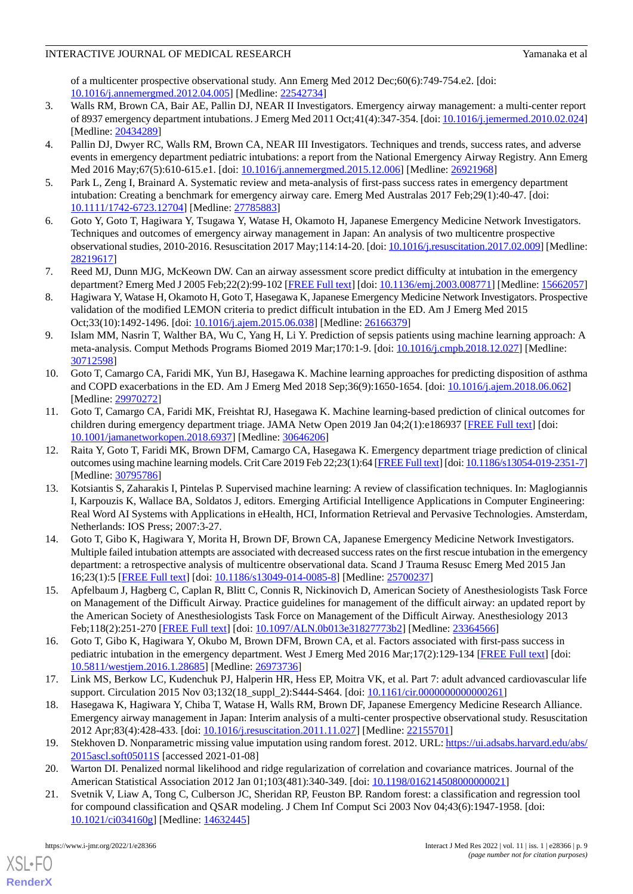of a multicenter prospective observational study. Ann Emerg Med 2012 Dec;60(6):749-754.e2. [doi: [10.1016/j.annemergmed.2012.04.005](http://dx.doi.org/10.1016/j.annemergmed.2012.04.005)] [Medline: [22542734\]](http://www.ncbi.nlm.nih.gov/entrez/query.fcgi?cmd=Retrieve&db=PubMed&list_uids=22542734&dopt=Abstract)

- 3. Walls RM, Brown CA, Bair AE, Pallin DJ, NEAR II Investigators. Emergency airway management: a multi-center report of 8937 emergency department intubations. J Emerg Med 2011 Oct;41(4):347-354. [doi: [10.1016/j.jemermed.2010.02.024](http://dx.doi.org/10.1016/j.jemermed.2010.02.024)] [Medline: [20434289](http://www.ncbi.nlm.nih.gov/entrez/query.fcgi?cmd=Retrieve&db=PubMed&list_uids=20434289&dopt=Abstract)]
- <span id="page-8-0"></span>4. Pallin DJ, Dwyer RC, Walls RM, Brown CA, NEAR III Investigators. Techniques and trends, success rates, and adverse events in emergency department pediatric intubations: a report from the National Emergency Airway Registry. Ann Emerg Med 2016 May;67(5):610-615.e1. [doi: [10.1016/j.annemergmed.2015.12.006\]](http://dx.doi.org/10.1016/j.annemergmed.2015.12.006) [Medline: [26921968](http://www.ncbi.nlm.nih.gov/entrez/query.fcgi?cmd=Retrieve&db=PubMed&list_uids=26921968&dopt=Abstract)]
- <span id="page-8-2"></span><span id="page-8-1"></span>5. Park L, Zeng I, Brainard A. Systematic review and meta-analysis of first-pass success rates in emergency department intubation: Creating a benchmark for emergency airway care. Emerg Med Australas 2017 Feb;29(1):40-47. [doi: [10.1111/1742-6723.12704\]](http://dx.doi.org/10.1111/1742-6723.12704) [Medline: [27785883](http://www.ncbi.nlm.nih.gov/entrez/query.fcgi?cmd=Retrieve&db=PubMed&list_uids=27785883&dopt=Abstract)]
- <span id="page-8-3"></span>6. Goto Y, Goto T, Hagiwara Y, Tsugawa Y, Watase H, Okamoto H, Japanese Emergency Medicine Network Investigators. Techniques and outcomes of emergency airway management in Japan: An analysis of two multicentre prospective observational studies, 2010-2016. Resuscitation 2017 May;114:14-20. [doi: [10.1016/j.resuscitation.2017.02.009](http://dx.doi.org/10.1016/j.resuscitation.2017.02.009)] [Medline: [28219617](http://www.ncbi.nlm.nih.gov/entrez/query.fcgi?cmd=Retrieve&db=PubMed&list_uids=28219617&dopt=Abstract)]
- <span id="page-8-4"></span>7. Reed MJ, Dunn MJG, McKeown DW. Can an airway assessment score predict difficulty at intubation in the emergency department? Emerg Med J 2005 Feb;22(2):99-102 [\[FREE Full text\]](https://emj.bmj.com/lookup/pmidlookup?view=long&pmid=15662057) [doi: [10.1136/emj.2003.008771](http://dx.doi.org/10.1136/emj.2003.008771)] [Medline: [15662057](http://www.ncbi.nlm.nih.gov/entrez/query.fcgi?cmd=Retrieve&db=PubMed&list_uids=15662057&dopt=Abstract)]
- <span id="page-8-5"></span>8. Hagiwara Y, Watase H, Okamoto H, Goto T, Hasegawa K, Japanese Emergency Medicine Network Investigators. Prospective validation of the modified LEMON criteria to predict difficult intubation in the ED. Am J Emerg Med 2015 Oct;33(10):1492-1496. [doi: [10.1016/j.ajem.2015.06.038](http://dx.doi.org/10.1016/j.ajem.2015.06.038)] [Medline: [26166379](http://www.ncbi.nlm.nih.gov/entrez/query.fcgi?cmd=Retrieve&db=PubMed&list_uids=26166379&dopt=Abstract)]
- <span id="page-8-6"></span>9. Islam MM, Nasrin T, Walther BA, Wu C, Yang H, Li Y. Prediction of sepsis patients using machine learning approach: A meta-analysis. Comput Methods Programs Biomed 2019 Mar;170:1-9. [doi: [10.1016/j.cmpb.2018.12.027](http://dx.doi.org/10.1016/j.cmpb.2018.12.027)] [Medline: [30712598](http://www.ncbi.nlm.nih.gov/entrez/query.fcgi?cmd=Retrieve&db=PubMed&list_uids=30712598&dopt=Abstract)]
- <span id="page-8-7"></span>10. Goto T, Camargo CA, Faridi MK, Yun BJ, Hasegawa K. Machine learning approaches for predicting disposition of asthma and COPD exacerbations in the ED. Am J Emerg Med 2018 Sep;36(9):1650-1654. [doi: [10.1016/j.ajem.2018.06.062\]](http://dx.doi.org/10.1016/j.ajem.2018.06.062) [Medline: [29970272](http://www.ncbi.nlm.nih.gov/entrez/query.fcgi?cmd=Retrieve&db=PubMed&list_uids=29970272&dopt=Abstract)]
- <span id="page-8-8"></span>11. Goto T, Camargo CA, Faridi MK, Freishtat RJ, Hasegawa K. Machine learning-based prediction of clinical outcomes for children during emergency department triage. JAMA Netw Open 2019 Jan 04;2(1):e186937 [[FREE Full text](https://jamanetwork.com/journals/jamanetworkopen/fullarticle/10.1001/jamanetworkopen.2018.6937)] [doi: [10.1001/jamanetworkopen.2018.6937](http://dx.doi.org/10.1001/jamanetworkopen.2018.6937)] [Medline: [30646206](http://www.ncbi.nlm.nih.gov/entrez/query.fcgi?cmd=Retrieve&db=PubMed&list_uids=30646206&dopt=Abstract)]
- <span id="page-8-9"></span>12. Raita Y, Goto T, Faridi MK, Brown DFM, Camargo CA, Hasegawa K. Emergency department triage prediction of clinical outcomes using machine learning models. Crit Care 2019 Feb 22;23(1):64 [[FREE Full text](https://ccforum.biomedcentral.com/articles/10.1186/s13054-019-2351-7)] [doi: [10.1186/s13054-019-2351-7\]](http://dx.doi.org/10.1186/s13054-019-2351-7) [Medline: [30795786](http://www.ncbi.nlm.nih.gov/entrez/query.fcgi?cmd=Retrieve&db=PubMed&list_uids=30795786&dopt=Abstract)]
- <span id="page-8-10"></span>13. Kotsiantis S, Zaharakis I, Pintelas P. Supervised machine learning: A review of classification techniques. In: Maglogiannis I, Karpouzis K, Wallace BA, Soldatos J, editors. Emerging Artificial Intelligence Applications in Computer Engineering: Real Word AI Systems with Applications in eHealth, HCI, Information Retrieval and Pervasive Technologies. Amsterdam, Netherlands: IOS Press; 2007:3-27.
- <span id="page-8-11"></span>14. Goto T, Gibo K, Hagiwara Y, Morita H, Brown DF, Brown CA, Japanese Emergency Medicine Network Investigators. Multiple failed intubation attempts are associated with decreased success rates on the first rescue intubation in the emergency department: a retrospective analysis of multicentre observational data. Scand J Trauma Resusc Emerg Med 2015 Jan 16;23(1):5 [[FREE Full text\]](https://sjtrem.biomedcentral.com/articles/10.1186/s13049-014-0085-8) [doi: [10.1186/s13049-014-0085-8](http://dx.doi.org/10.1186/s13049-014-0085-8)] [Medline: [25700237](http://www.ncbi.nlm.nih.gov/entrez/query.fcgi?cmd=Retrieve&db=PubMed&list_uids=25700237&dopt=Abstract)]
- <span id="page-8-13"></span><span id="page-8-12"></span>15. Apfelbaum J, Hagberg C, Caplan R, Blitt C, Connis R, Nickinovich D, American Society of Anesthesiologists Task Force on Management of the Difficult Airway. Practice guidelines for management of the difficult airway: an updated report by the American Society of Anesthesiologists Task Force on Management of the Difficult Airway. Anesthesiology 2013 Feb;118(2):251-270 [[FREE Full text](https://pubs.asahq.org/anesthesiology/article-lookup/doi/10.1097/ALN.0b013e31827773b2)] [doi: [10.1097/ALN.0b013e31827773b2](http://dx.doi.org/10.1097/ALN.0b013e31827773b2)] [Medline: [23364566](http://www.ncbi.nlm.nih.gov/entrez/query.fcgi?cmd=Retrieve&db=PubMed&list_uids=23364566&dopt=Abstract)]
- <span id="page-8-14"></span>16. Goto T, Gibo K, Hagiwara Y, Okubo M, Brown DFM, Brown CA, et al. Factors associated with first-pass success in pediatric intubation in the emergency department. West J Emerg Med 2016 Mar;17(2):129-134 [\[FREE Full text](http://escholarship.org/uc/item/0mg1p118)] [doi: [10.5811/westjem.2016.1.28685\]](http://dx.doi.org/10.5811/westjem.2016.1.28685) [Medline: [26973736](http://www.ncbi.nlm.nih.gov/entrez/query.fcgi?cmd=Retrieve&db=PubMed&list_uids=26973736&dopt=Abstract)]
- <span id="page-8-15"></span>17. Link MS, Berkow LC, Kudenchuk PJ, Halperin HR, Hess EP, Moitra VK, et al. Part 7: adult advanced cardiovascular life support. Circulation 2015 Nov 03;132(18\_suppl\_2):S444-S464. [doi: [10.1161/cir.0000000000000261\]](http://dx.doi.org/10.1161/cir.0000000000000261)
- <span id="page-8-17"></span><span id="page-8-16"></span>18. Hasegawa K, Hagiwara Y, Chiba T, Watase H, Walls RM, Brown DF, Japanese Emergency Medicine Research Alliance. Emergency airway management in Japan: Interim analysis of a multi-center prospective observational study. Resuscitation 2012 Apr;83(4):428-433. [doi: [10.1016/j.resuscitation.2011.11.027](http://dx.doi.org/10.1016/j.resuscitation.2011.11.027)] [Medline: [22155701\]](http://www.ncbi.nlm.nih.gov/entrez/query.fcgi?cmd=Retrieve&db=PubMed&list_uids=22155701&dopt=Abstract)
- 19. Stekhoven D. Nonparametric missing value imputation using random forest. 2012. URL: [https://ui.adsabs.harvard.edu/abs/](https://ui.adsabs.harvard.edu/abs/2015ascl.soft05011S) [2015ascl.soft05011S](https://ui.adsabs.harvard.edu/abs/2015ascl.soft05011S) [accessed 2021-01-08]
- 20. Warton DI. Penalized normal likelihood and ridge regularization of correlation and covariance matrices. Journal of the American Statistical Association 2012 Jan 01;103(481):340-349. [doi: [10.1198/016214508000000021\]](http://dx.doi.org/10.1198/016214508000000021)
- 21. Svetnik V, Liaw A, Tong C, Culberson JC, Sheridan RP, Feuston BP. Random forest: a classification and regression tool for compound classification and QSAR modeling. J Chem Inf Comput Sci 2003 Nov 04;43(6):1947-1958. [doi: [10.1021/ci034160g](http://dx.doi.org/10.1021/ci034160g)] [Medline: [14632445\]](http://www.ncbi.nlm.nih.gov/entrez/query.fcgi?cmd=Retrieve&db=PubMed&list_uids=14632445&dopt=Abstract)

[XSL](http://www.w3.org/Style/XSL)•FO **[RenderX](http://www.renderx.com/)**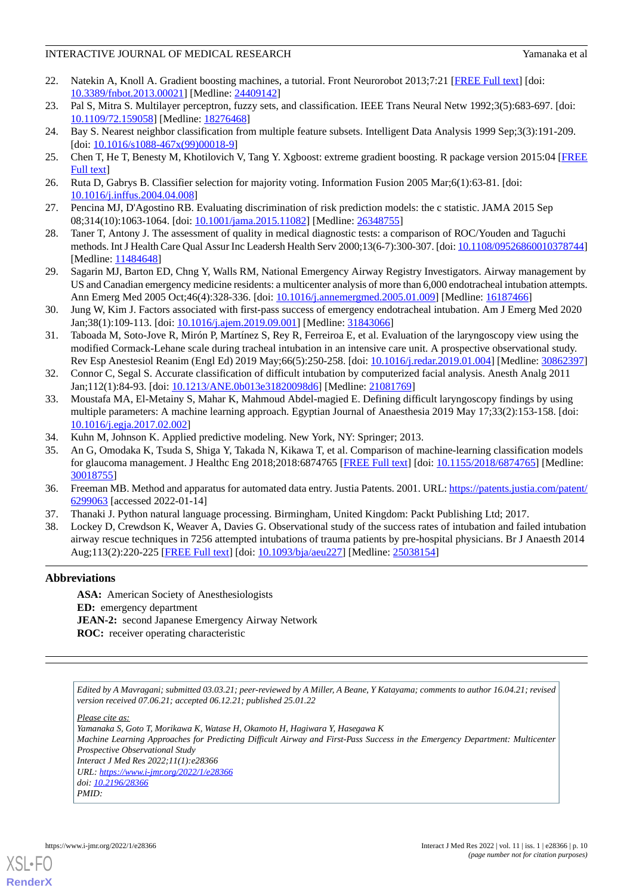- <span id="page-9-0"></span>22. Natekin A, Knoll A. Gradient boosting machines, a tutorial. Front Neurorobot 2013;7:21 [[FREE Full text](https://doi.org/10.3389/fnbot.2013.00021)] [doi: [10.3389/fnbot.2013.00021\]](http://dx.doi.org/10.3389/fnbot.2013.00021) [Medline: [24409142\]](http://www.ncbi.nlm.nih.gov/entrez/query.fcgi?cmd=Retrieve&db=PubMed&list_uids=24409142&dopt=Abstract)
- <span id="page-9-2"></span><span id="page-9-1"></span>23. Pal S, Mitra S. Multilayer perceptron, fuzzy sets, and classification. IEEE Trans Neural Netw 1992;3(5):683-697. [doi: [10.1109/72.159058](http://dx.doi.org/10.1109/72.159058)] [Medline: [18276468](http://www.ncbi.nlm.nih.gov/entrez/query.fcgi?cmd=Retrieve&db=PubMed&list_uids=18276468&dopt=Abstract)]
- <span id="page-9-3"></span>24. Bay S. Nearest neighbor classification from multiple feature subsets. Intelligent Data Analysis 1999 Sep;3(3):191-209. [doi: [10.1016/s1088-467x\(99\)00018-9](http://dx.doi.org/10.1016/s1088-467x(99)00018-9)]
- <span id="page-9-4"></span>25. Chen T, He T, Benesty M, Khotilovich V, Tang Y. Xgboost: extreme gradient boosting. R package version 2015:04 [\[FREE](https://cran.r-project.org/web/packages/xgboost/vignettes/xgboost.pdf) [Full text\]](https://cran.r-project.org/web/packages/xgboost/vignettes/xgboost.pdf)
- <span id="page-9-5"></span>26. Ruta D, Gabrys B. Classifier selection for majority voting. Information Fusion 2005 Mar;6(1):63-81. [doi: [10.1016/j.inffus.2004.04.008\]](http://dx.doi.org/10.1016/j.inffus.2004.04.008)
- <span id="page-9-6"></span>27. Pencina MJ, D'Agostino RB. Evaluating discrimination of risk prediction models: the c statistic. JAMA 2015 Sep 08;314(10):1063-1064. [doi: [10.1001/jama.2015.11082](http://dx.doi.org/10.1001/jama.2015.11082)] [Medline: [26348755\]](http://www.ncbi.nlm.nih.gov/entrez/query.fcgi?cmd=Retrieve&db=PubMed&list_uids=26348755&dopt=Abstract)
- <span id="page-9-7"></span>28. Taner T, Antony J. The assessment of quality in medical diagnostic tests: a comparison of ROC/Youden and Taguchi methods. Int J Health Care Qual Assur Inc Leadersh Health Serv 2000;13(6-7):300-307. [doi: [10.1108/09526860010378744\]](http://dx.doi.org/10.1108/09526860010378744) [Medline: [11484648](http://www.ncbi.nlm.nih.gov/entrez/query.fcgi?cmd=Retrieve&db=PubMed&list_uids=11484648&dopt=Abstract)]
- 29. Sagarin MJ, Barton ED, Chng Y, Walls RM, National Emergency Airway Registry Investigators. Airway management by US and Canadian emergency medicine residents: a multicenter analysis of more than 6,000 endotracheal intubation attempts. Ann Emerg Med 2005 Oct;46(4):328-336. [doi: [10.1016/j.annemergmed.2005.01.009\]](http://dx.doi.org/10.1016/j.annemergmed.2005.01.009) [Medline: [16187466](http://www.ncbi.nlm.nih.gov/entrez/query.fcgi?cmd=Retrieve&db=PubMed&list_uids=16187466&dopt=Abstract)]
- <span id="page-9-8"></span>30. Jung W, Kim J. Factors associated with first-pass success of emergency endotracheal intubation. Am J Emerg Med 2020 Jan;38(1):109-113. [doi: [10.1016/j.ajem.2019.09.001](http://dx.doi.org/10.1016/j.ajem.2019.09.001)] [Medline: [31843066](http://www.ncbi.nlm.nih.gov/entrez/query.fcgi?cmd=Retrieve&db=PubMed&list_uids=31843066&dopt=Abstract)]
- <span id="page-9-9"></span>31. Taboada M, Soto-Jove R, Mirón P, Martínez S, Rey R, Ferreiroa E, et al. Evaluation of the laryngoscopy view using the modified Cormack-Lehane scale during tracheal intubation in an intensive care unit. A prospective observational study. Rev Esp Anestesiol Reanim (Engl Ed) 2019 May;66(5):250-258. [doi: [10.1016/j.redar.2019.01.004\]](http://dx.doi.org/10.1016/j.redar.2019.01.004) [Medline: [30862397](http://www.ncbi.nlm.nih.gov/entrez/query.fcgi?cmd=Retrieve&db=PubMed&list_uids=30862397&dopt=Abstract)]
- <span id="page-9-10"></span>32. Connor C, Segal S. Accurate classification of difficult intubation by computerized facial analysis. Anesth Analg 2011 Jan;112(1):84-93. [doi: [10.1213/ANE.0b013e31820098d6\]](http://dx.doi.org/10.1213/ANE.0b013e31820098d6) [Medline: [21081769](http://www.ncbi.nlm.nih.gov/entrez/query.fcgi?cmd=Retrieve&db=PubMed&list_uids=21081769&dopt=Abstract)]
- <span id="page-9-12"></span><span id="page-9-11"></span>33. Moustafa MA, El-Metainy S, Mahar K, Mahmoud Abdel-magied E. Defining difficult laryngoscopy findings by using multiple parameters: A machine learning approach. Egyptian Journal of Anaesthesia 2019 May 17;33(2):153-158. [doi: [10.1016/j.egja.2017.02.002](http://dx.doi.org/10.1016/j.egja.2017.02.002)]
- <span id="page-9-13"></span>34. Kuhn M, Johnson K. Applied predictive modeling. New York, NY: Springer; 2013.
- <span id="page-9-14"></span>35. An G, Omodaka K, Tsuda S, Shiga Y, Takada N, Kikawa T, et al. Comparison of machine-learning classification models for glaucoma management. J Healthc Eng 2018;2018:6874765 [\[FREE Full text\]](https://doi.org/10.1155/2018/6874765) [doi: [10.1155/2018/6874765\]](http://dx.doi.org/10.1155/2018/6874765) [Medline: [30018755](http://www.ncbi.nlm.nih.gov/entrez/query.fcgi?cmd=Retrieve&db=PubMed&list_uids=30018755&dopt=Abstract)]
- <span id="page-9-15"></span>36. Freeman MB. Method and apparatus for automated data entry. Justia Patents. 2001. URL: [https://patents.justia.com/patent/](https://patents.justia.com/patent/6299063) [6299063](https://patents.justia.com/patent/6299063) [accessed 2022-01-14]
- 37. Thanaki J. Python natural language processing. Birmingham, United Kingdom: Packt Publishing Ltd; 2017.
- 38. Lockey D, Crewdson K, Weaver A, Davies G. Observational study of the success rates of intubation and failed intubation airway rescue techniques in 7256 attempted intubations of trauma patients by pre-hospital physicians. Br J Anaesth 2014 Aug;113(2):220-225 [\[FREE Full text\]](https://linkinghub.elsevier.com/retrieve/pii/S0007-0912(17)31511-8) [doi: [10.1093/bja/aeu227\]](http://dx.doi.org/10.1093/bja/aeu227) [Medline: [25038154\]](http://www.ncbi.nlm.nih.gov/entrez/query.fcgi?cmd=Retrieve&db=PubMed&list_uids=25038154&dopt=Abstract)

### **Abbreviations**

**ASA:** American Society of Anesthesiologists **ED:** emergency department **JEAN-2:** second Japanese Emergency Airway Network **ROC:** receiver operating characteristic

*Edited by A Mavragani; submitted 03.03.21; peer-reviewed by A Miller, A Beane, Y Katayama; comments to author 16.04.21; revised version received 07.06.21; accepted 06.12.21; published 25.01.22*

*Please cite as:*

*Yamanaka S, Goto T, Morikawa K, Watase H, Okamoto H, Hagiwara Y, Hasegawa K Machine Learning Approaches for Predicting Difficult Airway and First-Pass Success in the Emergency Department: Multicenter Prospective Observational Study Interact J Med Res 2022;11(1):e28366 URL: <https://www.i-jmr.org/2022/1/e28366> doi: [10.2196/28366](http://dx.doi.org/10.2196/28366)*

*PMID:*